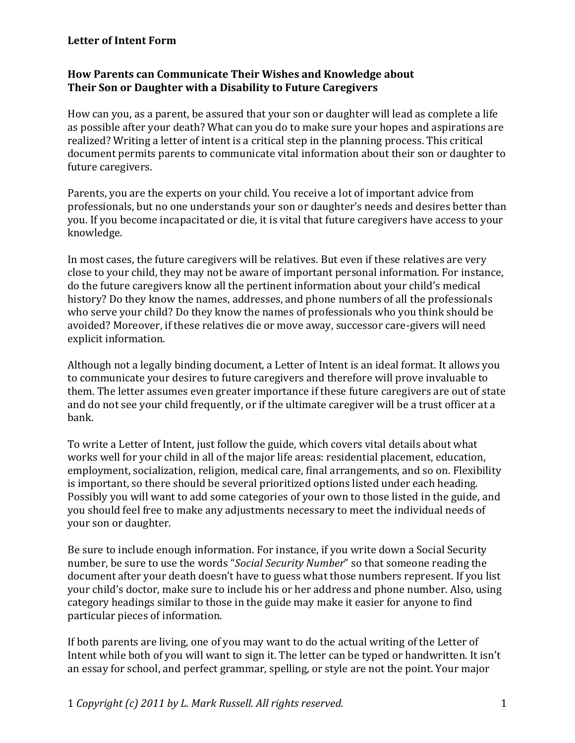# **How Parents can Communicate Their Wishes and Knowledge about Their Son or Daughter with a Disability to Future Caregivers**

How can you, as a parent, be assured that your son or daughter will lead as complete a life as possible after your death? What can you do to make sure your hopes and aspirations are realized? Writing a letter of intent is a critical step in the planning process. This critical document permits parents to communicate vital information about their son or daughter to future caregivers.

Parents, you are the experts on your child. You receive a lot of important advice from professionals, but no one understands your son or daughter's needs and desires better than you. If you become incapacitated or die, it is vital that future caregivers have access to your knowledge.

In most cases, the future caregivers will be relatives. But even if these relatives are very close to your child, they may not be aware of important personal information. For instance, do the future caregivers know all the pertinent information about your child's medical history? Do they know the names, addresses, and phone numbers of all the professionals who serve your child? Do they know the names of professionals who you think should be avoided? Moreover, if these relatives die or move away, successor care-givers will need explicit information.

Although not a legally binding document, a Letter of Intent is an ideal format. It allows you to communicate your desires to future caregivers and therefore will prove invaluable to them. The letter assumes even greater importance if these future caregivers are out of state and do not see your child frequently, or if the ultimate caregiver will be a trust officer at a bank.

To write a Letter of Intent, just follow the guide, which covers vital details about what works well for your child in all of the major life areas: residential placement, education, employment, socialization, religion, medical care, final arrangements, and so on. Flexibility is important, so there should be several prioritized options listed under each heading. Possibly you will want to add some categories of your own to those listed in the guide, and you should feel free to make any adjustments necessary to meet the individual needs of your son or daughter.

Be sure to include enough information. For instance, if you write down a Social Security number, be sure to use the words "*Social Security Number*" so that someone reading the document after your death doesn't have to guess what those numbers represent. If you list your child's doctor, make sure to include his or her address and phone number. Also, using category headings similar to those in the guide may make it easier for anyone to find particular pieces of information.

If both parents are living, one of you may want to do the actual writing of the Letter of Intent while both of you will want to sign it. The letter can be typed or handwritten. It isn't an essay for school, and perfect grammar, spelling, or style are not the point. Your major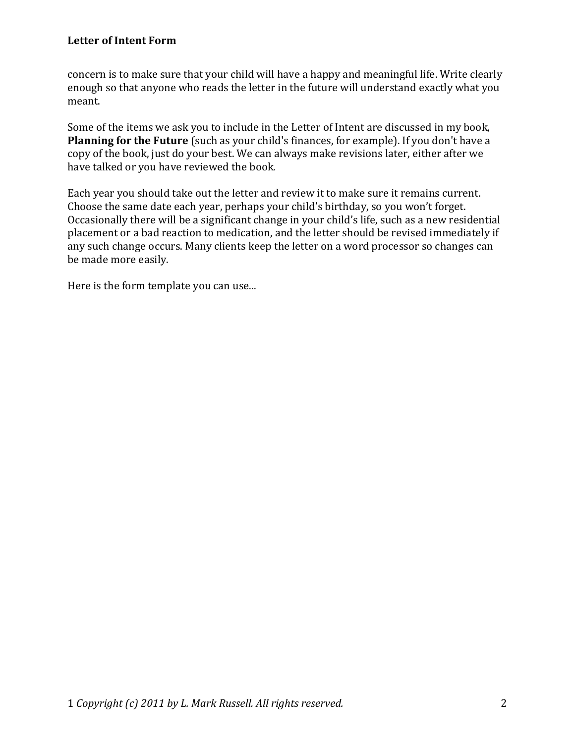concern is to make sure that your child will have a happy and meaningful life. Write clearly enough so that anyone who reads the letter in the future will understand exactly what you meant.

Some of the items we ask you to include in the Letter of Intent are discussed in my book, **Planning for the Future** (such as your child's finances, for example). If you don't have a copy of the book, just do your best. We can always make revisions later, either after we have talked or you have reviewed the book.

Each year you should take out the letter and review it to make sure it remains current. Choose the same date each year, perhaps your child's birthday, so you won't forget. Occasionally there will be a significant change in your child's life, such as a new residential placement or a bad reaction to medication, and the letter should be revised immediately if any such change occurs. Many clients keep the letter on a word processor so changes can be made more easily.

Here is the form template you can use...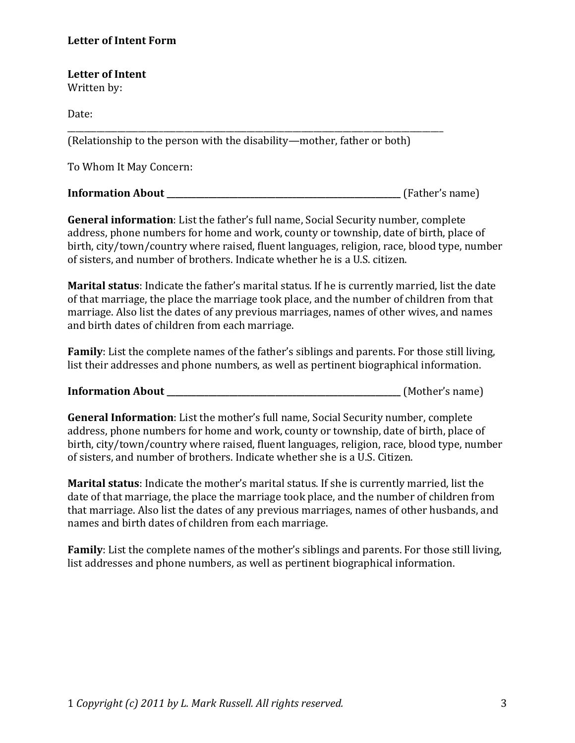# **Letter of Intent**

Written by:

Date:

(Relationship to the person with the disability—mother, father or both)

\_\_\_\_\_\_\_\_\_\_\_\_\_\_\_\_\_\_\_\_\_\_\_\_\_\_\_\_\_\_\_\_\_\_\_\_\_\_\_\_\_\_\_\_\_\_\_\_\_\_\_\_\_\_\_\_\_\_\_\_\_\_\_\_\_\_\_\_\_\_\_\_\_\_\_\_\_\_\_\_\_\_\_\_\_\_\_\_\_\_

To Whom It May Concern:

**Information About \_\_\_\_\_\_\_\_\_\_\_\_\_\_\_\_\_\_\_\_\_\_\_\_\_\_\_\_\_\_\_\_\_\_\_\_\_\_\_\_\_\_\_\_\_\_\_\_\_\_\_\_\_\_\_\_** (Father's name)

**General information**: List the father's full name, Social Security number, complete address, phone numbers for home and work, county or township, date of birth, place of birth, city/town/country where raised, fluent languages, religion, race, blood type, number of sisters, and number of brothers. Indicate whether he is a U.S. citizen.

**Marital status**: Indicate the father's marital status. If he is currently married, list the date of that marriage, the place the marriage took place, and the number of children from that marriage. Also list the dates of any previous marriages, names of other wives, and names and birth dates of children from each marriage.

**Family**: List the complete names of the father's siblings and parents. For those still living, list their addresses and phone numbers, as well as pertinent biographical information.

# **Information About \_\_\_\_\_\_\_\_\_\_\_\_\_\_\_\_\_\_\_\_\_\_\_\_\_\_\_\_\_\_\_\_\_\_\_\_\_\_\_\_\_\_\_\_\_\_\_\_\_\_\_\_\_\_\_\_** (Mother's name)

**General Information**: List the mother's full name, Social Security number, complete address, phone numbers for home and work, county or township, date of birth, place of birth, city/town/country where raised, fluent languages, religion, race, blood type, number of sisters, and number of brothers. Indicate whether she is a U.S. Citizen.

**Marital status**: Indicate the mother's marital status. If she is currently married, list the date of that marriage, the place the marriage took place, and the number of children from that marriage. Also list the dates of any previous marriages, names of other husbands, and names and birth dates of children from each marriage.

**Family**: List the complete names of the mother's siblings and parents. For those still living, list addresses and phone numbers, as well as pertinent biographical information.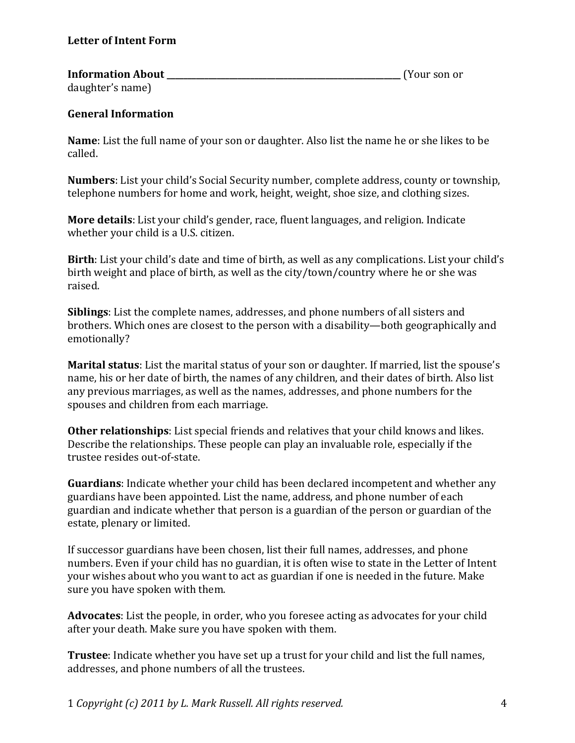| <b>Information About</b> | Your son or |
|--------------------------|-------------|
| daughter's name)         |             |

## **General Information**

**Name**: List the full name of your son or daughter. Also list the name he or she likes to be called.

**Numbers**: List your child's Social Security number, complete address, county or township, telephone numbers for home and work, height, weight, shoe size, and clothing sizes.

**More details**: List your child's gender, race, fluent languages, and religion. Indicate whether your child is a U.S. citizen.

**Birth**: List your child's date and time of birth, as well as any complications. List your child's birth weight and place of birth, as well as the city/town/country where he or she was raised.

**Siblings**: List the complete names, addresses, and phone numbers of all sisters and brothers. Which ones are closest to the person with a disability—both geographically and emotionally?

**Marital status**: List the marital status of your son or daughter. If married, list the spouse's name, his or her date of birth, the names of any children, and their dates of birth. Also list any previous marriages, as well as the names, addresses, and phone numbers for the spouses and children from each marriage.

**Other relationships**: List special friends and relatives that your child knows and likes. Describe the relationships. These people can play an invaluable role, especially if the trustee resides out-of-state.

**Guardians**: Indicate whether your child has been declared incompetent and whether any guardians have been appointed. List the name, address, and phone number of each guardian and indicate whether that person is a guardian of the person or guardian of the estate, plenary or limited.

If successor guardians have been chosen, list their full names, addresses, and phone numbers. Even if your child has no guardian, it is often wise to state in the Letter of Intent your wishes about who you want to act as guardian if one is needed in the future. Make sure you have spoken with them.

**Advocates**: List the people, in order, who you foresee acting as advocates for your child after your death. Make sure you have spoken with them.

**Trustee**: Indicate whether you have set up a trust for your child and list the full names, addresses, and phone numbers of all the trustees.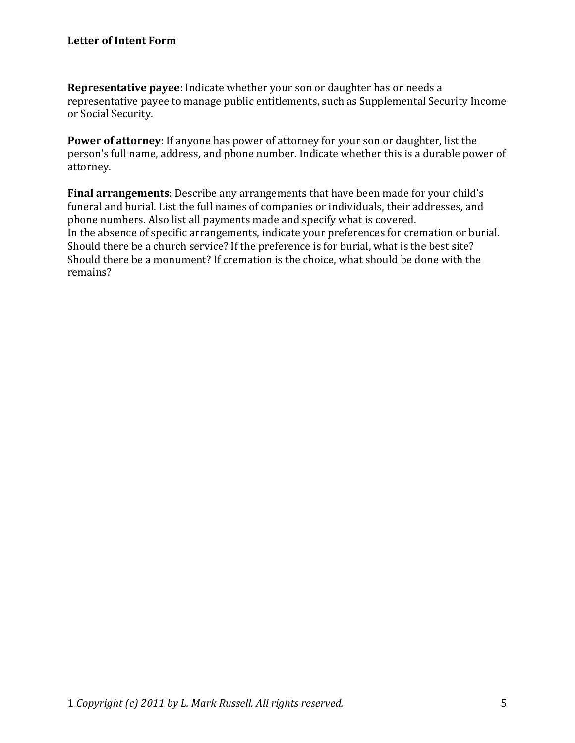**Representative payee**: Indicate whether your son or daughter has or needs a representative payee to manage public entitlements, such as Supplemental Security Income or Social Security.

**Power of attorney**: If anyone has power of attorney for your son or daughter, list the person's full name, address, and phone number. Indicate whether this is a durable power of attorney.

**Final arrangements**: Describe any arrangements that have been made for your child's funeral and burial. List the full names of companies or individuals, their addresses, and phone numbers. Also list all payments made and specify what is covered. In the absence of specific arrangements, indicate your preferences for cremation or burial. Should there be a church service? If the preference is for burial, what is the best site? Should there be a monument? If cremation is the choice, what should be done with the remains?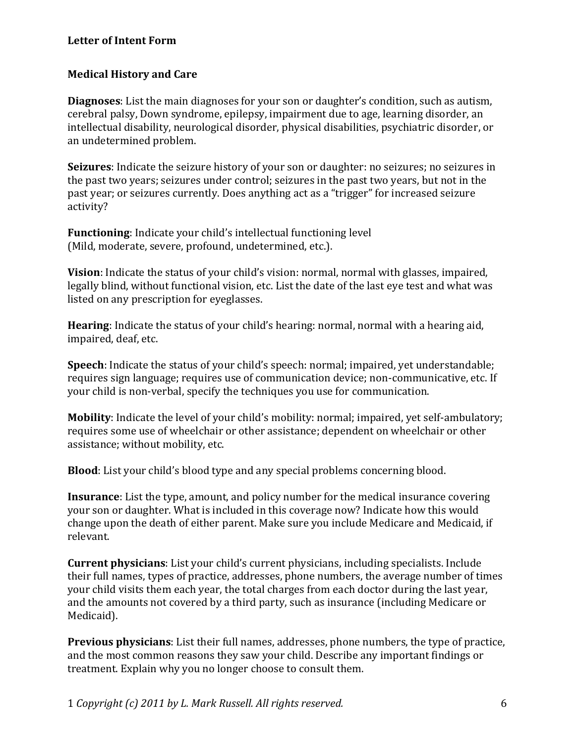# **Medical History and Care**

**Diagnoses**: List the main diagnoses for your son or daughter's condition, such as autism, cerebral palsy, Down syndrome, epilepsy, impairment due to age, learning disorder, an intellectual disability, neurological disorder, physical disabilities, psychiatric disorder, or an undetermined problem.

**Seizures**: Indicate the seizure history of your son or daughter: no seizures; no seizures in the past two years; seizures under control; seizures in the past two years, but not in the past year; or seizures currently. Does anything act as a "trigger" for increased seizure activity?

**Functioning**: Indicate your child's intellectual functioning level (Mild, moderate, severe, profound, undetermined, etc.).

**Vision**: Indicate the status of your child's vision: normal, normal with glasses, impaired, legally blind, without functional vision, etc. List the date of the last eye test and what was listed on any prescription for eyeglasses.

**Hearing**: Indicate the status of your child's hearing: normal, normal with a hearing aid, impaired, deaf, etc.

**Speech**: Indicate the status of your child's speech: normal; impaired, yet understandable; requires sign language; requires use of communication device; non-communicative, etc. If your child is non-verbal, specify the techniques you use for communication.

**Mobility**: Indicate the level of your child's mobility: normal; impaired, yet self-ambulatory; requires some use of wheelchair or other assistance; dependent on wheelchair or other assistance; without mobility, etc.

**Blood**: List your child's blood type and any special problems concerning blood.

**Insurance**: List the type, amount, and policy number for the medical insurance covering your son or daughter. What is included in this coverage now? Indicate how this would change upon the death of either parent. Make sure you include Medicare and Medicaid, if relevant.

**Current physicians**: List your child's current physicians, including specialists. Include their full names, types of practice, addresses, phone numbers, the average number of times your child visits them each year, the total charges from each doctor during the last year, and the amounts not covered by a third party, such as insurance (including Medicare or Medicaid).

**Previous physicians**: List their full names, addresses, phone numbers, the type of practice, and the most common reasons they saw your child. Describe any important findings or treatment. Explain why you no longer choose to consult them.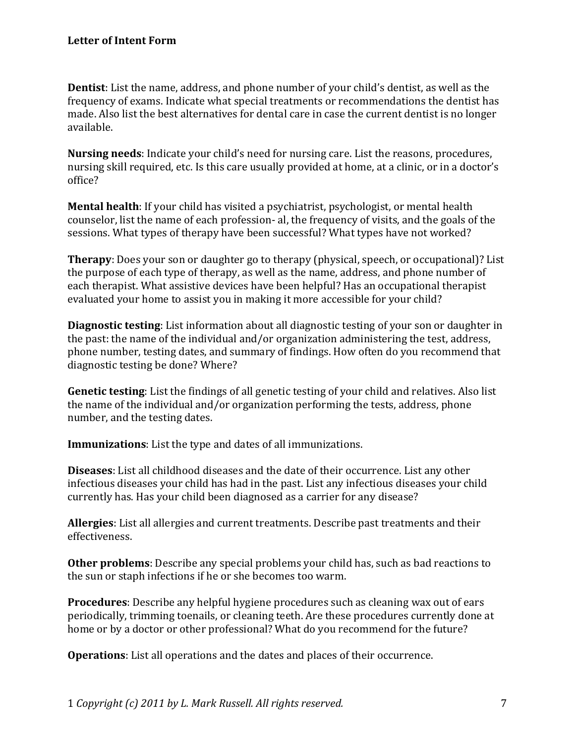**Dentist**: List the name, address, and phone number of your child's dentist, as well as the frequency of exams. Indicate what special treatments or recommendations the dentist has made. Also list the best alternatives for dental care in case the current dentist is no longer available.

**Nursing needs**: Indicate your child's need for nursing care. List the reasons, procedures, nursing skill required, etc. Is this care usually provided at home, at a clinic, or in a doctor's office?

**Mental health**: If your child has visited a psychiatrist, psychologist, or mental health counselor, list the name of each profession- al, the frequency of visits, and the goals of the sessions. What types of therapy have been successful? What types have not worked?

**Therapy**: Does your son or daughter go to therapy (physical, speech, or occupational)? List the purpose of each type of therapy, as well as the name, address, and phone number of each therapist. What assistive devices have been helpful? Has an occupational therapist evaluated your home to assist you in making it more accessible for your child?

**Diagnostic testing**: List information about all diagnostic testing of your son or daughter in the past: the name of the individual and/or organization administering the test, address, phone number, testing dates, and summary of findings. How often do you recommend that diagnostic testing be done? Where?

**Genetic testing**: List the findings of all genetic testing of your child and relatives. Also list the name of the individual and/or organization performing the tests, address, phone number, and the testing dates.

**Immunizations**: List the type and dates of all immunizations.

**Diseases**: List all childhood diseases and the date of their occurrence. List any other infectious diseases your child has had in the past. List any infectious diseases your child currently has. Has your child been diagnosed as a carrier for any disease?

**Allergies**: List all allergies and current treatments. Describe past treatments and their effectiveness.

**Other problems**: Describe any special problems your child has, such as bad reactions to the sun or staph infections if he or she becomes too warm.

**Procedures**: Describe any helpful hygiene procedures such as cleaning wax out of ears periodically, trimming toenails, or cleaning teeth. Are these procedures currently done at home or by a doctor or other professional? What do you recommend for the future?

**Operations**: List all operations and the dates and places of their occurrence.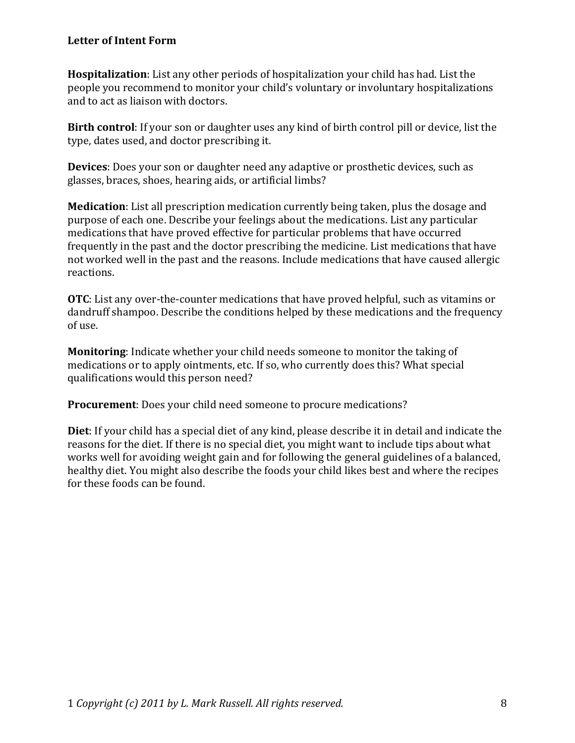**Hospitalization**: List any other periods of hospitalization your child has had. List the people you recommend to monitor your child's voluntary or involuntary hospitalizations and to act as liaison with doctors.

**Birth control**: If your son or daughter uses any kind of birth control pill or device, list the type, dates used, and doctor prescribing it.

**Devices**: Does your son or daughter need any adaptive or prosthetic devices, such as glasses, braces, shoes, hearing aids, or artificial limbs?

**Medication**: List all prescription medication currently being taken, plus the dosage and purpose of each one. Describe your feelings about the medications. List any particular medications that have proved effective for particular problems that have occurred frequently in the past and the doctor prescribing the medicine. List medications that have not worked well in the past and the reasons. Include medications that have caused allergic reactions.

**OTC**: List any over-the-counter medications that have proved helpful, such as vitamins or dandruff shampoo. Describe the conditions helped by these medications and the frequency of use.

**Monitoring**: Indicate whether your child needs someone to monitor the taking of medications or to apply ointments, etc. If so, who currently does this? What special qualifications would this person need?

**Procurement**: Does your child need someone to procure medications?

**Diet**: If your child has a special diet of any kind, please describe it in detail and indicate the reasons for the diet. If there is no special diet, you might want to include tips about what works well for avoiding weight gain and for following the general guidelines of a balanced, healthy diet. You might also describe the foods your child likes best and where the recipes for these foods can be found.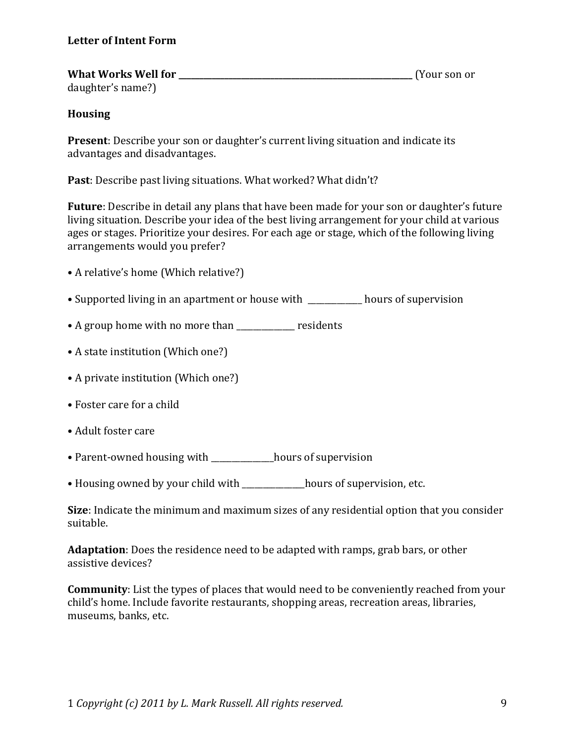| What Works Well for | Your son or |
|---------------------|-------------|
| daughter's name?)   |             |

# **Housing**

**Present**: Describe your son or daughter's current living situation and indicate its advantages and disadvantages.

**Past**: Describe past living situations. What worked? What didn't?

**Future**: Describe in detail any plans that have been made for your son or daughter's future living situation. Describe your idea of the best living arrangement for your child at various ages or stages. Prioritize your desires. For each age or stage, which of the following living arrangements would you prefer?

- A relative's home (Which relative?)
- Supported living in an apartment or house with hours of supervision
- A group home with no more than \_\_\_\_\_\_\_\_\_\_\_\_\_\_ residents
- A state institution (Which one?)
- A private institution (Which one?)
- Foster care for a child
- Adult foster care
- Parent-owned housing with hours of supervision
- Housing owned by your child with \_\_\_\_\_\_\_\_\_\_\_\_\_\_\_hours of supervision, etc.

**Size**: Indicate the minimum and maximum sizes of any residential option that you consider suitable.

**Adaptation**: Does the residence need to be adapted with ramps, grab bars, or other assistive devices?

**Community**: List the types of places that would need to be conveniently reached from your child's home. Include favorite restaurants, shopping areas, recreation areas, libraries, museums, banks, etc.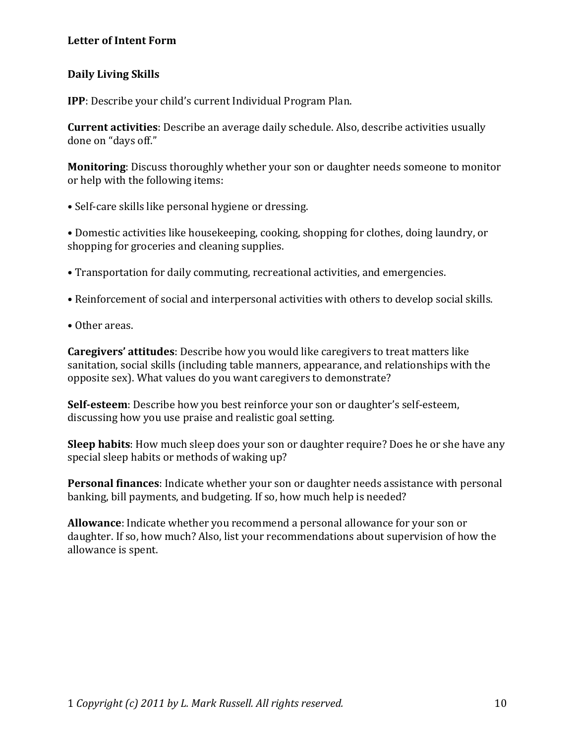# **Daily Living Skills**

**IPP**: Describe your child's current Individual Program Plan.

**Current activities**: Describe an average daily schedule. Also, describe activities usually done on "days off."

**Monitoring**: Discuss thoroughly whether your son or daughter needs someone to monitor or help with the following items:

• Self-care skills like personal hygiene or dressing.

• Domestic activities like housekeeping, cooking, shopping for clothes, doing laundry, or shopping for groceries and cleaning supplies.

- Transportation for daily commuting, recreational activities, and emergencies.
- Reinforcement of social and interpersonal activities with others to develop social skills.
- Other areas.

**Caregivers' attitudes**: Describe how you would like caregivers to treat matters like sanitation, social skills (including table manners, appearance, and relationships with the opposite sex). What values do you want caregivers to demonstrate?

**Self-esteem**: Describe how you best reinforce your son or daughter's self-esteem, discussing how you use praise and realistic goal setting.

**Sleep habits**: How much sleep does your son or daughter require? Does he or she have any special sleep habits or methods of waking up?

**Personal finances**: Indicate whether your son or daughter needs assistance with personal banking, bill payments, and budgeting. If so, how much help is needed?

**Allowance**: Indicate whether you recommend a personal allowance for your son or daughter. If so, how much? Also, list your recommendations about supervision of how the allowance is spent.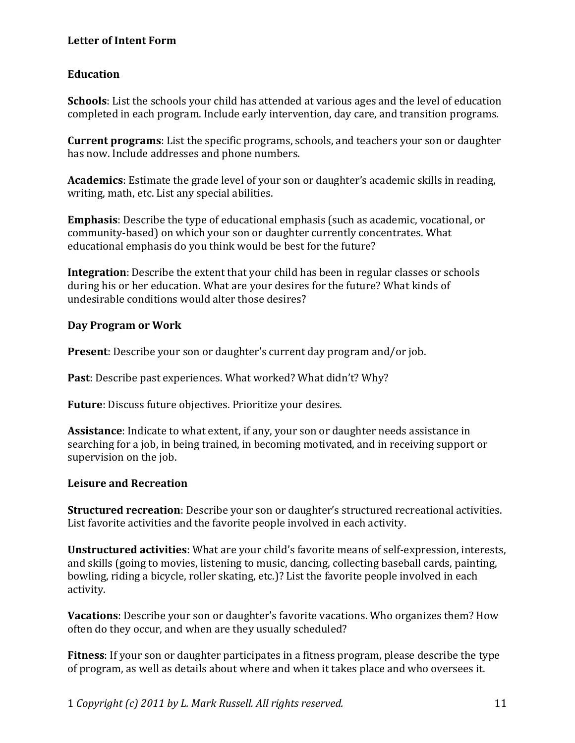# **Education**

**Schools**: List the schools your child has attended at various ages and the level of education completed in each program. Include early intervention, day care, and transition programs.

**Current programs**: List the specific programs, schools, and teachers your son or daughter has now. Include addresses and phone numbers.

**Academics**: Estimate the grade level of your son or daughter's academic skills in reading, writing, math, etc. List any special abilities.

**Emphasis**: Describe the type of educational emphasis (such as academic, vocational, or community-based) on which your son or daughter currently concentrates. What educational emphasis do you think would be best for the future?

**Integration**: Describe the extent that your child has been in regular classes or schools during his or her education. What are your desires for the future? What kinds of undesirable conditions would alter those desires?

## **Day Program or Work**

**Present**: Describe your son or daughter's current day program and/or job.

**Past**: Describe past experiences. What worked? What didn't? Why?

**Future**: Discuss future objectives. Prioritize your desires.

**Assistance**: Indicate to what extent, if any, your son or daughter needs assistance in searching for a job, in being trained, in becoming motivated, and in receiving support or supervision on the job.

#### **Leisure and Recreation**

**Structured recreation**: Describe your son or daughter's structured recreational activities. List favorite activities and the favorite people involved in each activity.

**Unstructured activities**: What are your child's favorite means of self-expression, interests, and skills (going to movies, listening to music, dancing, collecting baseball cards, painting, bowling, riding a bicycle, roller skating, etc.)? List the favorite people involved in each activity.

**Vacations**: Describe your son or daughter's favorite vacations. Who organizes them? How often do they occur, and when are they usually scheduled?

**Fitness**: If your son or daughter participates in a fitness program, please describe the type of program, as well as details about where and when it takes place and who oversees it.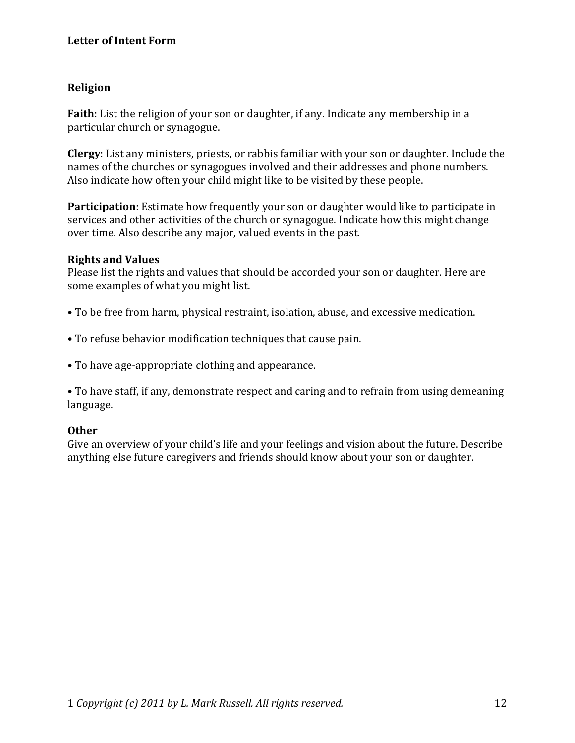# **Religion**

**Faith**: List the religion of your son or daughter, if any. Indicate any membership in a particular church or synagogue.

**Clergy**: List any ministers, priests, or rabbis familiar with your son or daughter. Include the names of the churches or synagogues involved and their addresses and phone numbers. Also indicate how often your child might like to be visited by these people.

**Participation**: Estimate how frequently your son or daughter would like to participate in services and other activities of the church or synagogue. Indicate how this might change over time. Also describe any major, valued events in the past.

#### **Rights and Values**

Please list the rights and values that should be accorded your son or daughter. Here are some examples of what you might list.

- To be free from harm, physical restraint, isolation, abuse, and excessive medication.
- To refuse behavior modification techniques that cause pain.
- To have age-appropriate clothing and appearance.

• To have staff, if any, demonstrate respect and caring and to refrain from using demeaning language.

## **Other**

Give an overview of your child's life and your feelings and vision about the future. Describe anything else future caregivers and friends should know about your son or daughter.